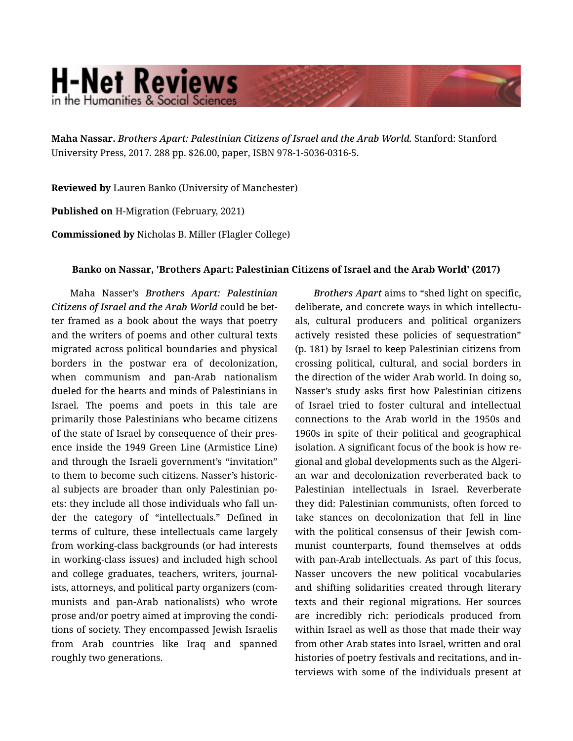## **H-Net Reviews** in the Humanities & Social Scienc

**Maha Nassar.** *Brothers Apart: Palestinian Citizens of Israel and the Arab World.* Stanford: Stanford University Press, 2017. 288 pp. \$26.00, paper, ISBN 978-1-5036-0316-5.

**Reviewed by** Lauren Banko (University of Manchester)

**Published on** H-Migration (February, 2021)

**Commissioned by** Nicholas B. Miller (Flagler College)

## **Banko on Nassar, 'Brothers Apart: Palestinian Citizens of Israel and the Arab World' (2017)**

Maha Nasser's *Brothers Apart: Palestinian Citizens of Israel and the Arab World* could be bet‐ ter framed as a book about the ways that poetry and the writers of poems and other cultural texts migrated across political boundaries and physical borders in the postwar era of decolonization, when communism and pan-Arab nationalism dueled for the hearts and minds of Palestinians in Israel. The poems and poets in this tale are primarily those Palestinians who became citizens of the state of Israel by consequence of their pres‐ ence inside the 1949 Green Line (Armistice Line) and through the Israeli government's "invitation" to them to become such citizens. Nasser's historic‐ al subjects are broader than only Palestinian po‐ ets: they include all those individuals who fall un‐ der the category of "intellectuals." Defined in terms of culture, these intellectuals came largely from working-class backgrounds (or had interests in working-class issues) and included high school and college graduates, teachers, writers, journal‐ ists, attorneys, and political party organizers (com‐ munists and pan-Arab nationalists) who wrote prose and/or poetry aimed at improving the condi‐ tions of society. They encompassed Jewish Israelis from Arab countries like Iraq and spanned roughly two generations.

*Brothers Apart* aims to "shed light on specific, deliberate, and concrete ways in which intellectu‐ als, cultural producers and political organizers actively resisted these policies of sequestration" (p. 181) by Israel to keep Palestinian citizens from crossing political, cultural, and social borders in the direction of the wider Arab world. In doing so, Nasser's study asks first how Palestinian citizens of Israel tried to foster cultural and intellectual connections to the Arab world in the 1950s and 1960s in spite of their political and geographical isolation. A significant focus of the book is how re‐ gional and global developments such as the Algeri‐ an war and decolonization reverberated back to Palestinian intellectuals in Israel. Reverberate they did: Palestinian communists, often forced to take stances on decolonization that fell in line with the political consensus of their Jewish communist counterparts, found themselves at odds with pan-Arab intellectuals. As part of this focus, Nasser uncovers the new political vocabularies and shifting solidarities created through literary texts and their regional migrations. Her sources are incredibly rich: periodicals produced from within Israel as well as those that made their way from other Arab states into Israel, written and oral histories of poetry festivals and recitations, and in‐ terviews with some of the individuals present at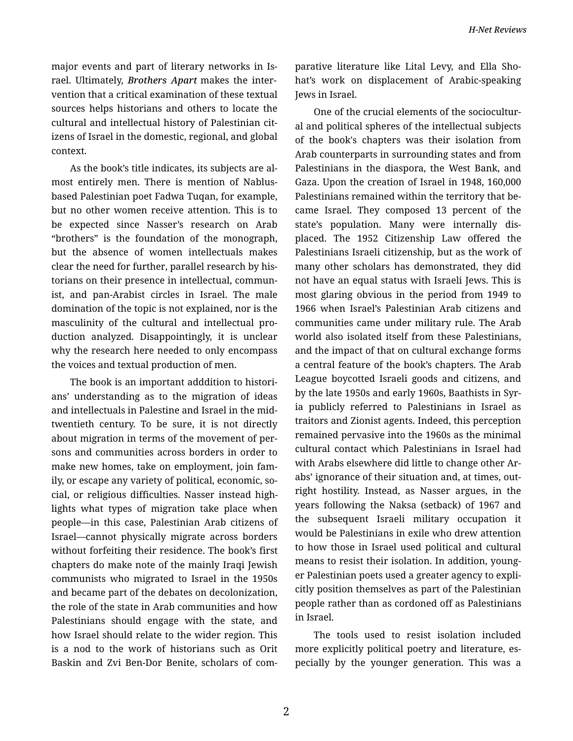major events and part of literary networks in Is‐ rael. Ultimately, *Brothers Apart* makes the inter‐ vention that a critical examination of these textual sources helps historians and others to locate the cultural and intellectual history of Palestinian cit‐ izens of Israel in the domestic, regional, and global context.

As the book's title indicates, its subjects are al‐ most entirely men. There is mention of Nablusbased Palestinian poet Fadwa Tuqan, for example, but no other women receive attention. This is to be expected since Nasser's research on Arab "brothers" is the foundation of the monograph, but the absence of women intellectuals makes clear the need for further, parallel research by his‐ torians on their presence in intellectual, commun‐ ist, and pan-Arabist circles in Israel. The male domination of the topic is not explained, nor is the masculinity of the cultural and intellectual pro‐ duction analyzed. Disappointingly, it is unclear why the research here needed to only encompass the voices and textual production of men.

The book is an important adddition to histori‐ ans' understanding as to the migration of ideas and intellectuals in Palestine and Israel in the midtwentieth century. To be sure, it is not directly about migration in terms of the movement of per‐ sons and communities across borders in order to make new homes, take on employment, join fam‐ ily, or escape any variety of political, economic, so‐ cial, or religious difficulties. Nasser instead high‐ lights what types of migration take place when people—in this case, Palestinian Arab citizens of Israel—cannot physically migrate across borders without forfeiting their residence. The book's first chapters do make note of the mainly Iraqi Jewish communists who migrated to Israel in the 1950s and became part of the debates on decolonization, the role of the state in Arab communities and how Palestinians should engage with the state, and how Israel should relate to the wider region. This is a nod to the work of historians such as Orit Baskin and Zvi Ben-Dor Benite, scholars of com‐ parative literature like Lital Levy, and Ella Sho‐ hat's work on displacement of Arabic-speaking Jews in Israel.

One of the crucial elements of the sociocultur‐ al and political spheres of the intellectual subjects of the book's chapters was their isolation from Arab counterparts in surrounding states and from Palestinians in the diaspora, the West Bank, and Gaza. Upon the creation of Israel in 1948, 160,000 Palestinians remained within the territory that be‐ came Israel. They composed 13 percent of the state's population. Many were internally dis‐ placed. The 1952 Citizenship Law offered the Palestinians Israeli citizenship, but as the work of many other scholars has demonstrated, they did not have an equal status with Israeli Jews. This is most glaring obvious in the period from 1949 to 1966 when Israel's Palestinian Arab citizens and communities came under military rule. The Arab world also isolated itself from these Palestinians, and the impact of that on cultural exchange forms a central feature of the book's chapters. The Arab League boycotted Israeli goods and citizens, and by the late 1950s and early 1960s, Baathists in Syr‐ ia publicly referred to Palestinians in Israel as traitors and Zionist agents. Indeed, this perception remained pervasive into the 1960s as the minimal cultural contact which Palestinians in Israel had with Arabs elsewhere did little to change other Ar‐ abs' ignorance of their situation and, at times, out‐ right hostility. Instead, as Nasser argues, in the years following the Naksa (setback) of 1967 and the subsequent Israeli military occupation it would be Palestinians in exile who drew attention to how those in Israel used political and cultural means to resist their isolation. In addition, young‐ er Palestinian poets used a greater agency to expli‐ citly position themselves as part of the Palestinian people rather than as cordoned off as Palestinians in Israel.

The tools used to resist isolation included more explicitly political poetry and literature, especially by the younger generation. This was a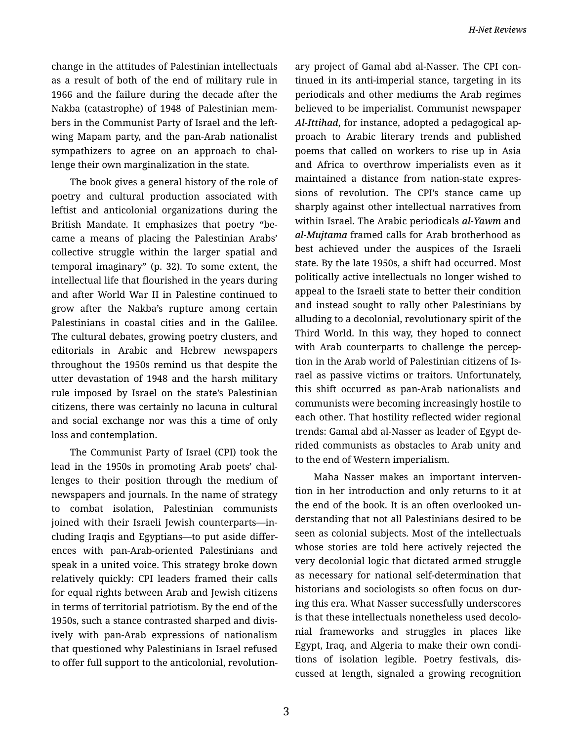change in the attitudes of Palestinian intellectuals as a result of both of the end of military rule in 1966 and the failure during the decade after the Nakba (catastrophe) of 1948 of Palestinian mem‐ bers in the Communist Party of Israel and the leftwing Mapam party, and the pan-Arab nationalist sympathizers to agree on an approach to chal‐ lenge their own marginalization in the state.

The book gives a general history of the role of poetry and cultural production associated with leftist and anticolonial organizations during the British Mandate. It emphasizes that poetry "be‐ came a means of placing the Palestinian Arabs' collective struggle within the larger spatial and temporal imaginary" (p. 32). To some extent, the intellectual life that flourished in the years during and after World War II in Palestine continued to grow after the Nakba's rupture among certain Palestinians in coastal cities and in the Galilee. The cultural debates, growing poetry clusters, and editorials in Arabic and Hebrew newspapers throughout the 1950s remind us that despite the utter devastation of 1948 and the harsh military rule imposed by Israel on the state's Palestinian citizens, there was certainly no lacuna in cultural and social exchange nor was this a time of only loss and contemplation.

The Communist Party of Israel (CPI) took the lead in the 1950s in promoting Arab poets' chal‐ lenges to their position through the medium of newspapers and journals. In the name of strategy to combat isolation, Palestinian communists joined with their Israeli Jewish counterparts—in‐ cluding Iraqis and Egyptians—to put aside differ‐ ences with pan-Arab-oriented Palestinians and speak in a united voice. This strategy broke down relatively quickly: CPI leaders framed their calls for equal rights between Arab and Jewish citizens in terms of territorial patriotism. By the end of the 1950s, such a stance contrasted sharped and divis‐ ively with pan-Arab expressions of nationalism that questioned why Palestinians in Israel refused to offer full support to the anticolonial, revolution‐

ary project of Gamal abd al-Nasser. The CPI con‐ tinued in its anti-imperial stance, targeting in its periodicals and other mediums the Arab regimes believed to be imperialist. Communist newspaper *Al-Ittihad*, for instance, adopted a pedagogical ap‐ proach to Arabic literary trends and published poems that called on workers to rise up in Asia and Africa to overthrow imperialists even as it maintained a distance from nation-state expres‐ sions of revolution. The CPI's stance came up sharply against other intellectual narratives from within Israel. The Arabic periodicals *al-Yawm* and *al-Mujtama* framed calls for Arab brotherhood as best achieved under the auspices of the Israeli state. By the late 1950s, a shift had occurred. Most politically active intellectuals no longer wished to appeal to the Israeli state to better their condition and instead sought to rally other Palestinians by alluding to a decolonial, revolutionary spirit of the Third World. In this way, they hoped to connect with Arab counterparts to challenge the perception in the Arab world of Palestinian citizens of Is‐ rael as passive victims or traitors. Unfortunately, this shift occurred as pan-Arab nationalists and communists were becoming increasingly hostile to each other. That hostility reflected wider regional trends: Gamal abd al-Nasser as leader of Egypt de‐ rided communists as obstacles to Arab unity and to the end of Western imperialism.

Maha Nasser makes an important interven‐ tion in her introduction and only returns to it at the end of the book. It is an often overlooked un‐ derstanding that not all Palestinians desired to be seen as colonial subjects. Most of the intellectuals whose stories are told here actively rejected the very decolonial logic that dictated armed struggle as necessary for national self-determination that historians and sociologists so often focus on dur‐ ing this era. What Nasser successfully underscores is that these intellectuals nonetheless used decolo‐ nial frameworks and struggles in places like Egypt, Iraq, and Algeria to make their own condi‐ tions of isolation legible. Poetry festivals, dis‐ cussed at length, signaled a growing recognition

3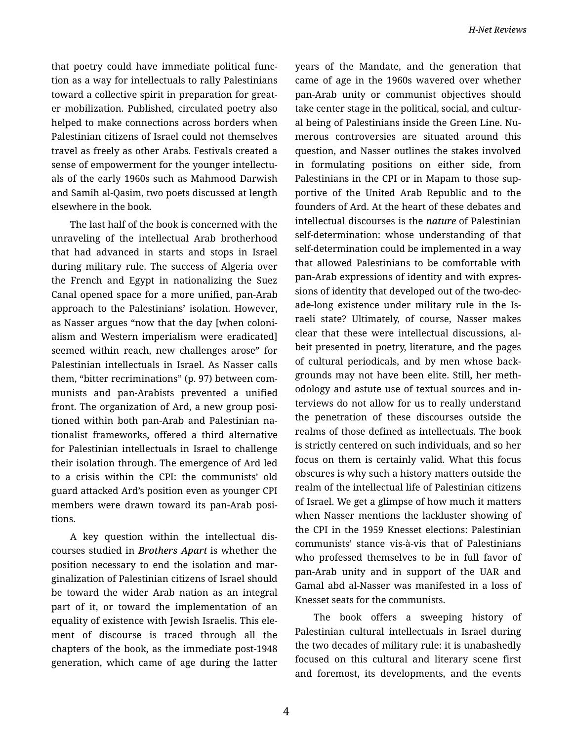that poetry could have immediate political func‐ tion as a way for intellectuals to rally Palestinians toward a collective spirit in preparation for great‐ er mobilization. Published, circulated poetry also helped to make connections across borders when Palestinian citizens of Israel could not themselves travel as freely as other Arabs. Festivals created a sense of empowerment for the younger intellectuals of the early 1960s such as Mahmood Darwish and Samih al-Qasim, two poets discussed at length elsewhere in the book.

The last half of the book is concerned with the unraveling of the intellectual Arab brotherhood that had advanced in starts and stops in Israel during military rule. The success of Algeria over the French and Egypt in nationalizing the Suez Canal opened space for a more unified, pan-Arab approach to the Palestinians' isolation. However, as Nasser argues "now that the day [when coloni‐ alism and Western imperialism were eradicated] seemed within reach, new challenges arose" for Palestinian intellectuals in Israel. As Nasser calls them, "bitter recriminations" (p. 97) between com‐ munists and pan-Arabists prevented a unified front. The organization of Ard, a new group positioned within both pan-Arab and Palestinian na‐ tionalist frameworks, offered a third alternative for Palestinian intellectuals in Israel to challenge their isolation through. The emergence of Ard led to a crisis within the CPI: the communists' old guard attacked Ard's position even as younger CPI members were drawn toward its pan-Arab posi‐ tions.

A key question within the intellectual dis‐ courses studied in *Brothers Apart* is whether the position necessary to end the isolation and mar‐ ginalization of Palestinian citizens of Israel should be toward the wider Arab nation as an integral part of it, or toward the implementation of an equality of existence with Jewish Israelis. This ele‐ ment of discourse is traced through all the chapters of the book, as the immediate post-1948 generation, which came of age during the latter years of the Mandate, and the generation that came of age in the 1960s wavered over whether pan-Arab unity or communist objectives should take center stage in the political, social, and cultur‐ al being of Palestinians inside the Green Line. Nu‐ merous controversies are situated around this question, and Nasser outlines the stakes involved in formulating positions on either side, from Palestinians in the CPI or in Mapam to those sup‐ portive of the United Arab Republic and to the founders of Ard. At the heart of these debates and intellectual discourses is the *nature* of Palestinian self-determination: whose understanding of that self-determination could be implemented in a way that allowed Palestinians to be comfortable with pan-Arab expressions of identity and with expres‐ sions of identity that developed out of the two-dec‐ ade-long existence under military rule in the Is‐ raeli state? Ultimately, of course, Nasser makes clear that these were intellectual discussions, al‐ beit presented in poetry, literature, and the pages of cultural periodicals, and by men whose back‐ grounds may not have been elite. Still, her meth‐ odology and astute use of textual sources and in‐ terviews do not allow for us to really understand the penetration of these discourses outside the realms of those defined as intellectuals. The book is strictly centered on such individuals, and so her focus on them is certainly valid. What this focus obscures is why such a history matters outside the realm of the intellectual life of Palestinian citizens of Israel. We get a glimpse of how much it matters when Nasser mentions the lackluster showing of the CPI in the 1959 Knesset elections: Palestinian communists' stance vis-à-vis that of Palestinians who professed themselves to be in full favor of pan-Arab unity and in support of the UAR and Gamal abd al-Nasser was manifested in a loss of Knesset seats for the communists.

The book offers a sweeping history of Palestinian cultural intellectuals in Israel during the two decades of military rule: it is unabashedly focused on this cultural and literary scene first and foremost, its developments, and the events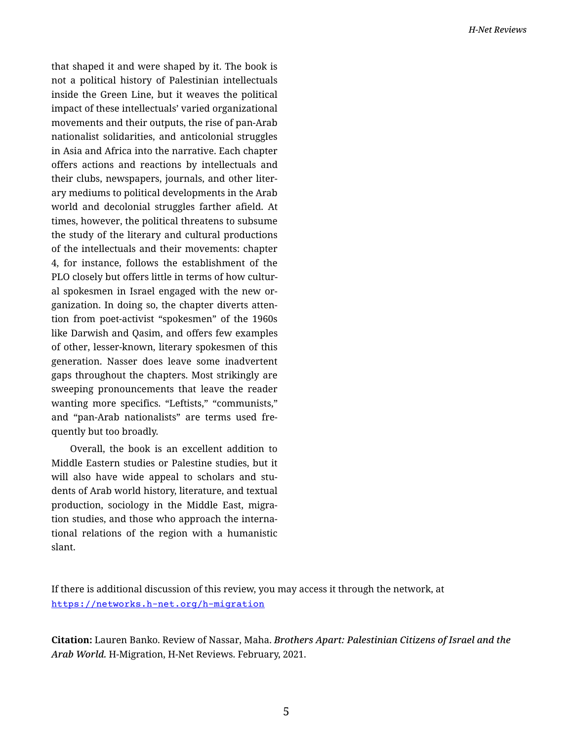that shaped it and were shaped by it. The book is not a political history of Palestinian intellectuals inside the Green Line, but it weaves the political impact of these intellectuals' varied organizational movements and their outputs, the rise of pan-Arab nationalist solidarities, and anticolonial struggles in Asia and Africa into the narrative. Each chapter offers actions and reactions by intellectuals and their clubs, newspapers, journals, and other liter‐ ary mediums to political developments in the Arab world and decolonial struggles farther afield. At times, however, the political threatens to subsume the study of the literary and cultural productions of the intellectuals and their movements: chapter 4, for instance, follows the establishment of the PLO closely but offers little in terms of how cultural spokesmen in Israel engaged with the new or‐ ganization. In doing so, the chapter diverts atten‐ tion from poet-activist "spokesmen" of the 1960s like Darwish and Qasim, and offers few examples of other, lesser-known, literary spokesmen of this generation. Nasser does leave some inadvertent gaps throughout the chapters. Most strikingly are sweeping pronouncements that leave the reader wanting more specifics. "Leftists," "communists," and "pan-Arab nationalists" are terms used fre‐ quently but too broadly.

Overall, the book is an excellent addition to Middle Eastern studies or Palestine studies, but it will also have wide appeal to scholars and students of Arab world history, literature, and textual production, sociology in the Middle East, migra‐ tion studies, and those who approach the interna‐ tional relations of the region with a humanistic slant.

If there is additional discussion of this review, you may access it through the network, at <https://networks.h-net.org/h-migration>

**Citation:** Lauren Banko. Review of Nassar, Maha. *Brothers Apart: Palestinian Citizens of Israel and the Arab World.* H-Migration, H-Net Reviews. February, 2021.